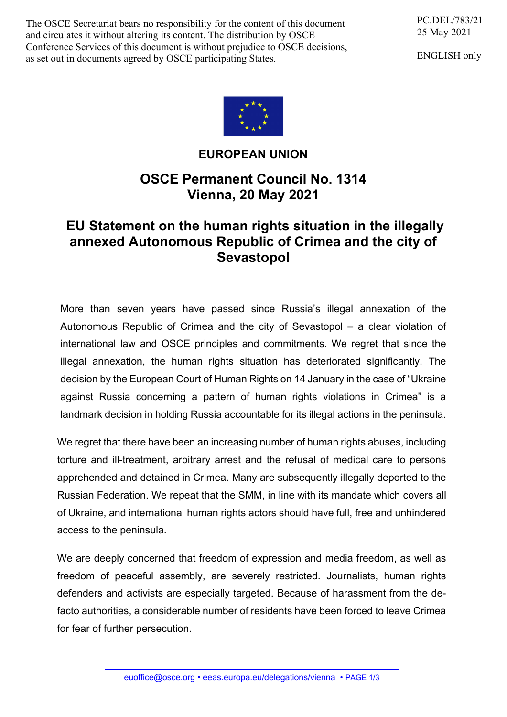The OSCE Secretariat bears no responsibility for the content of this document and circulates it without altering its content. The distribution by OSCE Conference Services of this document is without prejudice to OSCE decisions, as set out in documents agreed by OSCE participating States.

PC.DEL/783/21 25 May 2021

ENGLISH only



## **EUROPEAN UNION**

## **OSCE Permanent Council No. 1314 Vienna, 20 May 2021**

## **EU Statement on the human rights situation in the illegally annexed Autonomous Republic of Crimea and the city of Sevastopol**

More than seven years have passed since Russia's illegal annexation of the Autonomous Republic of Crimea and the city of Sevastopol – a clear violation of international law and OSCE principles and commitments. We regret that since the illegal annexation, the human rights situation has deteriorated significantly. The decision by the European Court of Human Rights on 14 January in the case of "Ukraine against Russia concerning a pattern of human rights violations in Crimea" is a landmark decision in holding Russia accountable for its illegal actions in the peninsula.

We regret that there have been an increasing number of human rights abuses, including torture and ill-treatment, arbitrary arrest and the refusal of medical care to persons apprehended and detained in Crimea. Many are subsequently illegally deported to the Russian Federation. We repeat that the SMM, in line with its mandate which covers all of Ukraine, and international human rights actors should have full, free and unhindered access to the peninsula.

We are deeply concerned that freedom of expression and media freedom, as well as freedom of peaceful assembly, are severely restricted. Journalists, human rights defenders and activists are especially targeted. Because of harassment from the defacto authorities, a considerable number of residents have been forced to leave Crimea for fear of further persecution.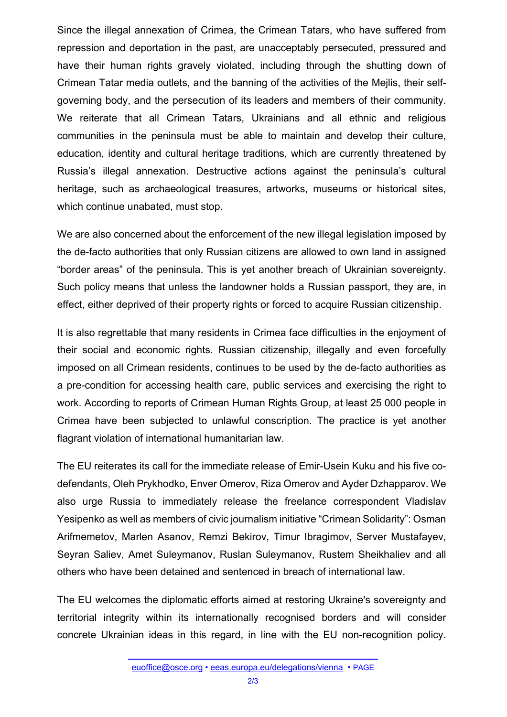Since the illegal annexation of Crimea, the Crimean Tatars, who have suffered from repression and deportation in the past, are unacceptably persecuted, pressured and have their human rights gravely violated, including through the shutting down of Crimean Tatar media outlets, and the banning of the activities of the Mejlis, their selfgoverning body, and the persecution of its leaders and members of their community. We reiterate that all Crimean Tatars, Ukrainians and all ethnic and religious communities in the peninsula must be able to maintain and develop their culture, education, identity and cultural heritage traditions, which are currently threatened by Russia's illegal annexation. Destructive actions against the peninsula's cultural heritage, such as archaeological treasures, artworks, museums or historical sites, which continue unabated, must stop.

We are also concerned about the enforcement of the new illegal legislation imposed by the de-facto authorities that only Russian citizens are allowed to own land in assigned "border areas" of the peninsula. This is yet another breach of Ukrainian sovereignty. Such policy means that unless the landowner holds a Russian passport, they are, in effect, either deprived of their property rights or forced to acquire Russian citizenship.

It is also regrettable that many residents in Crimea face difficulties in the enjoyment of their social and economic rights. Russian citizenship, illegally and even forcefully imposed on all Crimean residents, continues to be used by the de-facto authorities as a pre-condition for accessing health care, public services and exercising the right to work. According to reports of Crimean Human Rights Group, at least 25 000 people in Crimea have been subjected to unlawful conscription. The practice is yet another flagrant violation of international humanitarian law.

The EU reiterates its call for the immediate release of Emir-Usein Kuku and his five codefendants, Oleh Prykhodko, Enver Omerov, Riza Omerov and Ayder Dzhapparov. We also urge Russia to immediately release the freelance correspondent Vladislav Yesipenko as well as members of civic journalism initiative "Crimean Solidarity": Osman Arifmemetov, Marlen Asanov, Remzi Bekirov, Timur Ibragimov, Server Mustafayev, Seyran Saliev, Amet Suleymanov, Ruslan Suleymanov, Rustem Sheikhaliev and all others who have been detained and sentenced in breach of international law.

The EU welcomes the diplomatic efforts aimed at restoring Ukraine's sovereignty and territorial integrity within its internationally recognised borders and will consider concrete Ukrainian ideas in this regard, in line with the EU non-recognition policy.